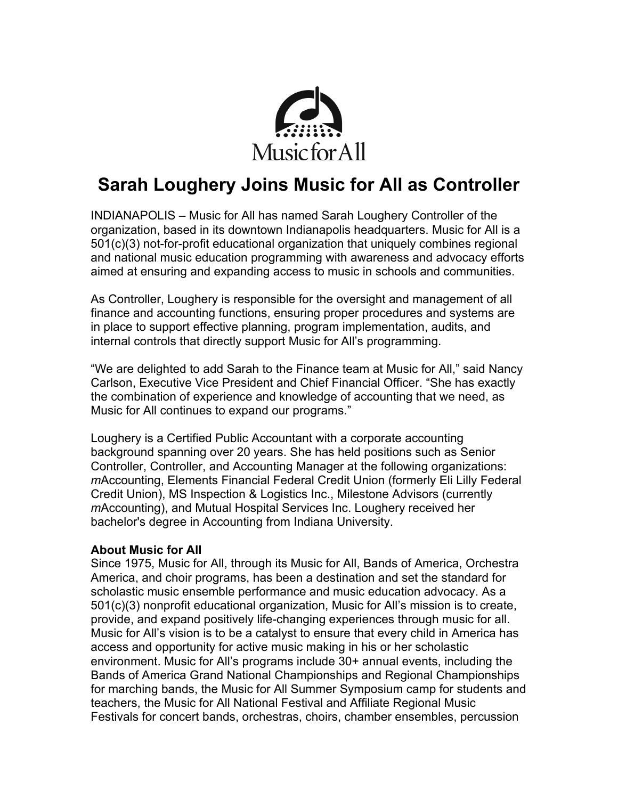

# **Sarah Loughery Joins Music for All as Controller**

INDIANAPOLIS – Music for All has named Sarah Loughery Controller of the organization, based in its downtown Indianapolis headquarters. Music for All is a 501(c)(3) not-for-profit educational organization that uniquely combines regional and national music education programming with awareness and advocacy efforts aimed at ensuring and expanding access to music in schools and communities.

As Controller, Loughery is responsible for the oversight and management of all finance and accounting functions, ensuring proper procedures and systems are in place to support effective planning, program implementation, audits, and internal controls that directly support Music for All's programming.

"We are delighted to add Sarah to the Finance team at Music for All," said Nancy Carlson, Executive Vice President and Chief Financial Officer. "She has exactly the combination of experience and knowledge of accounting that we need, as Music for All continues to expand our programs."

Loughery is a Certified Public Accountant with a corporate accounting background spanning over 20 years. She has held positions such as Senior Controller, Controller, and Accounting Manager at the following organizations: *m*Accounting, Elements Financial Federal Credit Union (formerly Eli Lilly Federal Credit Union), MS Inspection & Logistics Inc., Milestone Advisors (currently *m*Accounting), and Mutual Hospital Services Inc. Loughery received her bachelor's degree in Accounting from Indiana University.

## **About Music for All**

Since 1975, Music for All, through its Music for All, Bands of America, Orchestra America, and choir programs, has been a destination and set the standard for scholastic music ensemble performance and music education advocacy. As a 501(c)(3) nonprofit educational organization, Music for All's mission is to create, provide, and expand positively life-changing experiences through music for all. Music for All's vision is to be a catalyst to ensure that every child in America has access and opportunity for active music making in his or her scholastic environment. Music for All's programs include 30+ annual events, including the Bands of America Grand National Championships and Regional Championships for marching bands, the Music for All Summer Symposium camp for students and teachers, the Music for All National Festival and Affiliate Regional Music Festivals for concert bands, orchestras, choirs, chamber ensembles, percussion